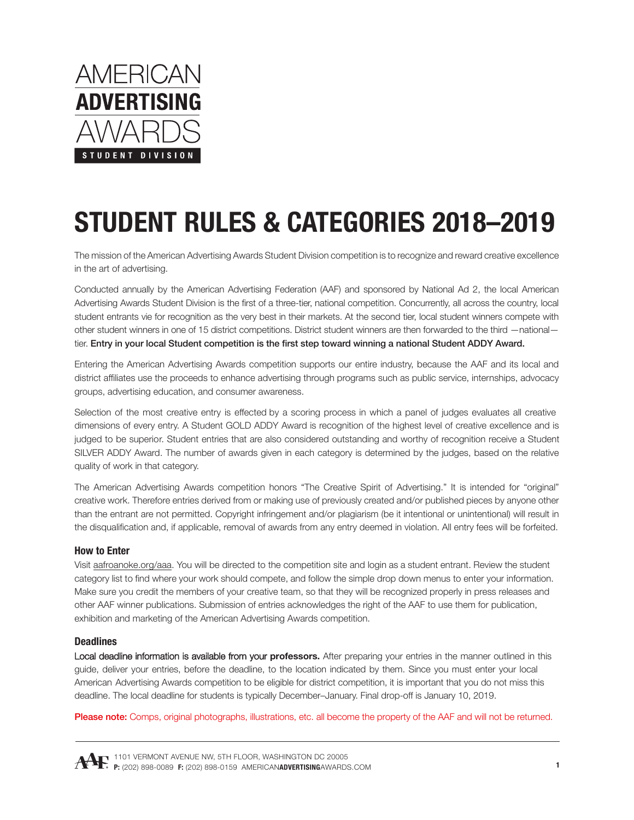

The mission of the American Advertising Awards Student Division competition is to recognize and reward creative excellence in the art of advertising.

Conducted annually by the American Advertising Federation (AAF) and sponsored by National Ad 2, the local American Advertising Awards Student Division is the first of a three-tier, national competition. Concurrently, all across the country, local student entrants vie for recognition as the very best in their markets. At the second tier, local student winners compete with other student winners in one of 15 district competitions. District student winners are then forwarded to the third —national tier. Entry in your local Student competition is the first step toward winning a national Student ADDY Award.

Entering the American Advertising Awards competition supports our entire industry, because the AAF and its local and district affiliates use the proceeds to enhance advertising through programs such as public service, internships, advocacy groups, advertising education, and consumer awareness.

Selection of the most creative entry is effected by a scoring process in which a panel of judges evaluates all creative dimensions of every entry. A Student GOLD ADDY Award is recognition of the highest level of creative excellence and is judged to be superior. Student entries that are also considered outstanding and worthy of recognition receive a Student SILVER ADDY Award. The number of awards given in each category is determined by the judges, based on the relative quality of work in that category.

The American Advertising Awards competition honors "The Creative Spirit of Advertising." It is intended for "original" creative work. Therefore entries derived from or making use of previously created and/or published pieces by anyone other than the entrant are not permitted. Copyright infringement and/or plagiarism (be it intentional or unintentional) will result in the disqualification and, if applicable, removal of awards from any entry deemed in violation. All entry fees will be forfeited.

#### **How to Enter**

Visit [aafroanoke.org/aaa](https://www.aafroanoke.org/aaa). You will be directed to the competition site and login as a student entrant. Review the student category list to find where your work should compete, and follow the simple drop down menus to enter your information. Make sure you credit the members of your creative team, so that they will be recognized properly in press releases and other AAF winner publications. Submission of entries acknowledges the right of the AAF to use them for publication, exhibition and marketing of the American Advertising Awards competition.

#### **Deadlines**

Local deadline information is available from your **professors.** After preparing your entries in the manner outlined in this guide, deliver your entries, before the deadline, to the location indicated by them. Since you must enter your local American Advertising Awards competition to be eligible for district competition, it is important that you do not miss this deadline. The local deadline for students is typically December–January. Final drop-off is January 10, 2019.

Please note: Comps, original photographs, illustrations, etc. all become the property of the AAF and will not be returned.

1101 VERMONT AVENUE NW, 5TH FLOOR, WASHINGTON DC 20005 **P:** (202) 898-0089 **F:** (202) 898-0159 AMERICAN**ADVERTISING**[AWARDS.COM](http://www.americanadvertisingawards.com/)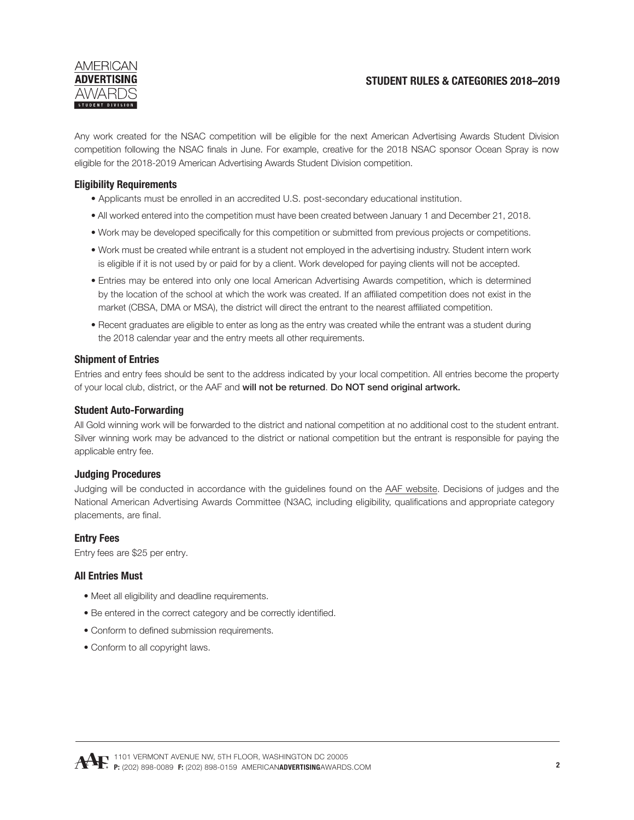

Any work created for the NSAC competition will be eligible for the next American Advertising Awards Student Division competition following the NSAC finals in June. For example, creative for the 2018 NSAC sponsor Ocean Spray is now eligible for the 2018-2019 American Advertising Awards Student Division competition.

## **Eligibility Requirements**

- Applicants must be enrolled in an accredited U.S. post-secondary educational institution.
- All worked entered into the competition must have been created between January 1 and December 21, 2018.
- Work may be developed specifically for this competition or submitted from previous projects or competitions.
- Work must be created while entrant is a student not employed in the advertising industry. Student intern work is eligible if it is not used by or paid for by a client. Work developed for paying clients will not be accepted.
- Entries may be entered into only one local American Advertising Awards competition, which is determined by the location of the school at which the work was created. If an affiliated competition does not exist in the market (CBSA, DMA or MSA), the district will direct the entrant to the nearest affiliated competition.
- Recent graduates are eligible to enter as long as the entry was created while the entrant was a student during the 2018 calendar year and the entry meets all other requirements.

#### **Shipment of Entries**

Entries and entry fees should be sent to the address indicated by your local competition. All entries become the property of your local club, district, or the AAF and will not be returned. Do NOT send original artwork.

#### **Student Auto-Forwarding**

All Gold winning work will be forwarded to the district and national competition at no additional cost to the student entrant. Silver winning work may be advanced to the district or national competition but the entrant is responsible for paying the applicable entry fee.

#### **Judging Procedures**

Judging will be conducted in accordance with the guidelines found on the [AAF website](http://www.americanadvertisingawards.com/). Decisions of judges and the National American Advertising Awards Committee (N3AC, including eligibility, qualifications and appropriate category placements, are final.

#### **Entry Fees**

Entry fees are \$25 per entry.

#### **All Entries Must**

- Meet all eligibility and deadline requirements.
- Be entered in the correct category and be correctly identified.
- Conform to defined submission requirements.
- Conform to all copyright laws.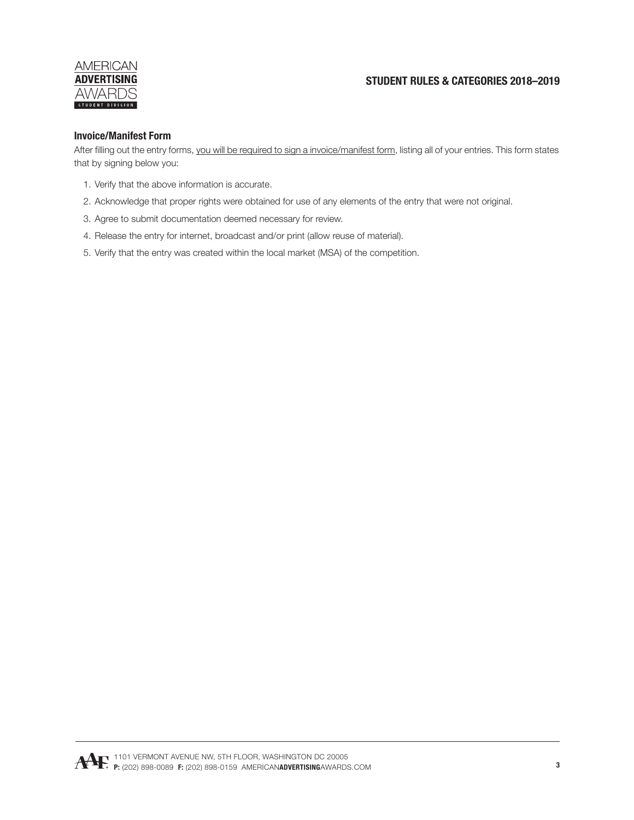## **AMERICAN ADVERTISING AWARDS** STUDENT DIVISION

# **STUDENT RULES & CATEGORIES 2018–2019**

## **Invoice/Manifest Form**

After filling out the entry forms, you will be required to sign a invoice/manifest form, listing all of your entries. This form states that by signing below you:

- 1. Verify that the above information is accurate.
- 2. Acknowledge that proper rights were obtained for use of any elements of the entry that were not original.
- 3. Agree to submit documentation deemed necessary for review.
- 4. Release the entry for internet, broadcast and/or print (allow reuse of material).
- 5. Verify that the entry was created within the local market (MSA) of the competition.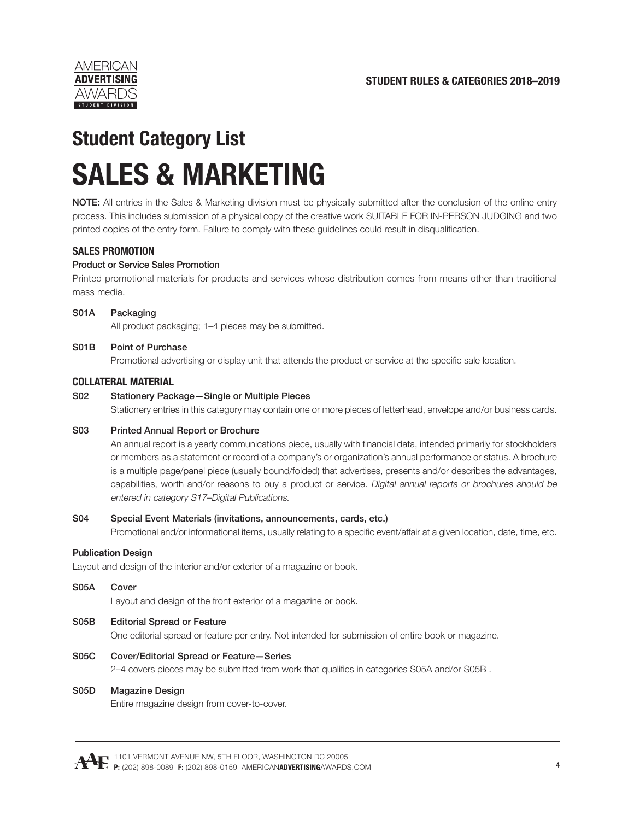

# **Student Category List SALES & MARKETING**

NOTE: All entries in the Sales & Marketing division must be physically submitted after the conclusion of the online entry process. This includes submission of a physical copy of the creative work SUITABLE FOR IN-PERSON JUDGING and two printed copies of the entry form. Failure to comply with these guidelines could result in disqualification.

# **SALES PROMOTION**

## Product or Service Sales Promotion

Printed promotional materials for products and services whose distribution comes from means other than traditional mass media.

#### S01A Packaging

All product packaging; 1–4 pieces may be submitted.

#### S01B Point of Purchase

Promotional advertising or display unit that attends the product or service at the specific sale location.

## **COLLATERAL MATERIAL**

#### S02 Stationery Package—Single or Multiple Pieces

Stationery entries in this category may contain one or more pieces of letterhead, envelope and/or business cards.

#### S03 Printed Annual Report or Brochure

An annual report is a yearly communications piece, usually with financial data, intended primarily for stockholders or members as a statement or record of a company's or organization's annual performance or status. A brochure is a multiple page/panel piece (usually bound/folded) that advertises, presents and/or describes the advantages, capabilities, worth and/or reasons to buy a product or service. Digital annual reports or brochures should be entered in category S17–Digital Publications.

#### S04 Special Event Materials (invitations, announcements, cards, etc.)

Promotional and/or informational items, usually relating to a specific event/affair at a given location, date, time, etc.

#### **Publication Design**

Layout and design of the interior and/or exterior of a magazine or book.

#### S05A Cover

Layout and design of the front exterior of a magazine or book.

#### S05B Editorial Spread or Feature

One editorial spread or feature per entry. Not intended for submission of entire book or magazine.

#### S05C Cover/Editorial Spread or Feature—Series

2–4 covers pieces may be submitted from work that qualifies in categories S05A and/or S05B .

#### S05D Magazine Design

Entire magazine design from cover-to-cover.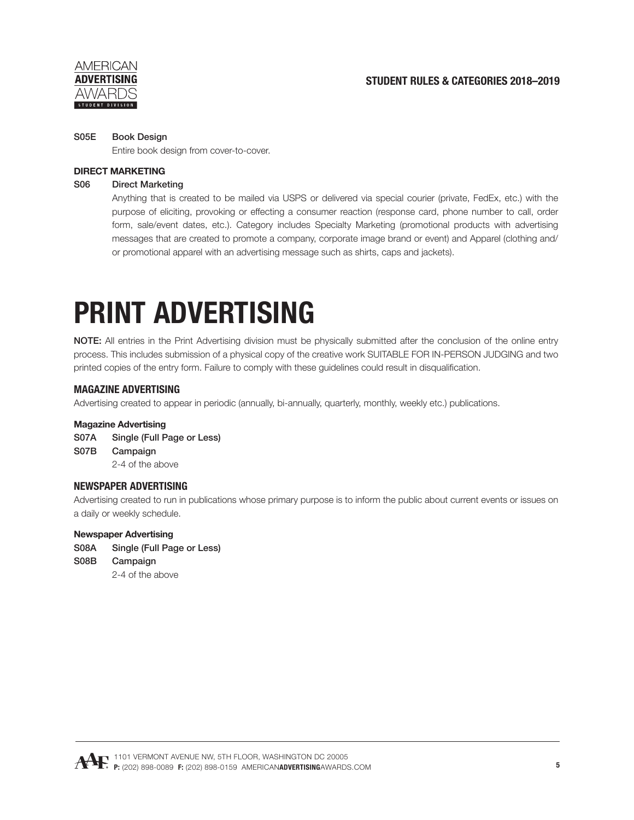

#### S05E Book Design

Entire book design from cover-to-cover.

## **DIRECT MARKETING**

## S06 Direct Marketing

 Anything that is created to be mailed via USPS or delivered via special courier (private, FedEx, etc.) with the purpose of eliciting, provoking or effecting a consumer reaction (response card, phone number to call, order form, sale/event dates, etc.). Category includes Specialty Marketing (promotional products with advertising messages that are created to promote a company, corporate image brand or event) and Apparel (clothing and/ or promotional apparel with an advertising message such as shirts, caps and jackets).

# **PRINT ADVERTISING**

NOTE: All entries in the Print Advertising division must be physically submitted after the conclusion of the online entry process. This includes submission of a physical copy of the creative work SUITABLE FOR IN-PERSON JUDGING and two printed copies of the entry form. Failure to comply with these guidelines could result in disqualification.

## **MAGAZINE ADVERTISING**

Advertising created to appear in periodic (annually, bi-annually, quarterly, monthly, weekly etc.) publications.

#### **Magazine Advertising**

- S07A Single (Full Page or Less)
- S07B Campaign

2-4 of the above

## **NEWSPAPER ADVERTISING**

Advertising created to run in publications whose primary purpose is to inform the public about current events or issues on a daily or weekly schedule.

#### **Newspaper Advertising**

- S08A Single (Full Page or Less)
- S08B Campaign

2-4 of the above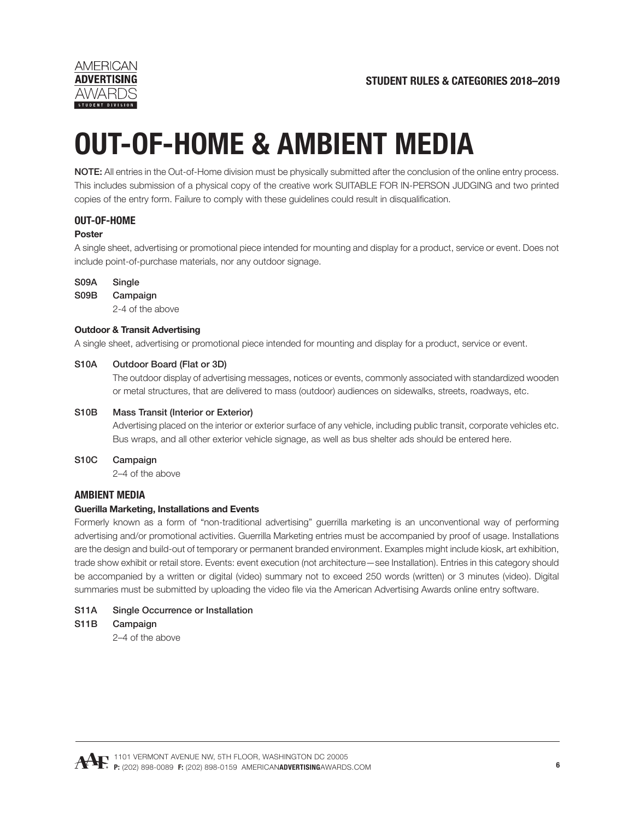

# **OUT-OF-HOME & AMBIENT MEDIA**

NOTE: All entries in the Out-of-Home division must be physically submitted after the conclusion of the online entry process. This includes submission of a physical copy of the creative work SUITABLE FOR IN-PERSON JUDGING and two printed copies of the entry form. Failure to comply with these guidelines could result in disqualification.

# **OUT-OF-HOME**

## **Poster**

A single sheet, advertising or promotional piece intended for mounting and display for a product, service or event. Does not include point-of-purchase materials, nor any outdoor signage.

#### S09A Single

#### S09B Campaign

2-4 of the above

#### **Outdoor & Transit Advertising**

A single sheet, advertising or promotional piece intended for mounting and display for a product, service or event.

#### S10A Outdoor Board (Flat or 3D)

 The outdoor display of advertising messages, notices or events, commonly associated with standardized wooden or metal structures, that are delivered to mass (outdoor) audiences on sidewalks, streets, roadways, etc.

#### S10B Mass Transit (Interior or Exterior)

 Advertising placed on the interior or exterior surface of any vehicle, including public transit, corporate vehicles etc. Bus wraps, and all other exterior vehicle signage, as well as bus shelter ads should be entered here.

S10C Campaign

2–4 of the above

## **AMBIENT MEDIA**

#### **Guerilla Marketing, Installations and Events**

Formerly known as a form of "non-traditional advertising" guerrilla marketing is an unconventional way of performing advertising and/or promotional activities. Guerrilla Marketing entries must be accompanied by proof of usage. Installations are the design and build-out of temporary or permanent branded environment. Examples might include kiosk, art exhibition, trade show exhibit or retail store. Events: event execution (not architecture—see Installation). Entries in this category should be accompanied by a written or digital (video) summary not to exceed 250 words (written) or 3 minutes (video). Digital summaries must be submitted by uploading the video file via the American Advertising Awards online entry software.

#### S11A Single Occurrence or Installation

S11B Campaign

2–4 of the above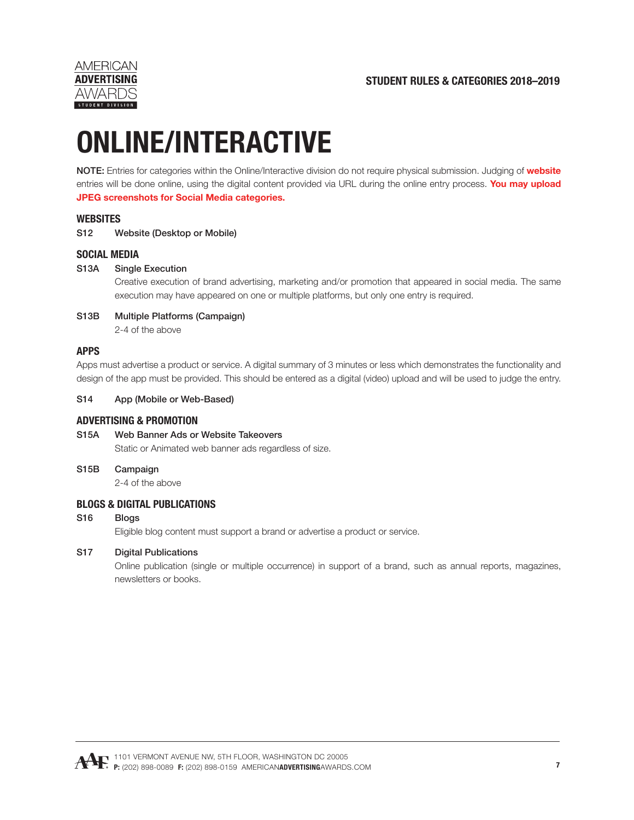



# **ONLINE/INTERACTIVE**

NOTE: Entries for categories within the Online/Interactive division do not require physical submission. Judging of **website** entries will be done online, using the digital content provided via URL during the online entry process. **You may upload JPEG screenshots for Social Media categories.**

## **WEBSITES**

S12 Website (Desktop or Mobile)

## **SOCIAL MEDIA**

#### S13A Single Execution

 Creative execution of brand advertising, marketing and/or promotion that appeared in social media. The same execution may have appeared on one or multiple platforms, but only one entry is required.

#### S13B Multiple Platforms (Campaign) 2-4 of the above

## **APPS**

Apps must advertise a product or service. A digital summary of 3 minutes or less which demonstrates the functionality and design of the app must be provided. This should be entered as a digital (video) upload and will be used to judge the entry.

#### S14 App (Mobile or Web-Based)

#### **ADVERTISING & PROMOTION**

- S15A Web Banner Ads or Website Takeovers Static or Animated web banner ads regardless of size.
- S15B Campaign

2-4 of the above

#### **BLOGS & DIGITAL PUBLICATIONS**

## S16 Blogs

Eligible blog content must support a brand or advertise a product or service.

#### S17 Digital Publications

 Online publication (single or multiple occurrence) in support of a brand, such as annual reports, magazines, newsletters or books.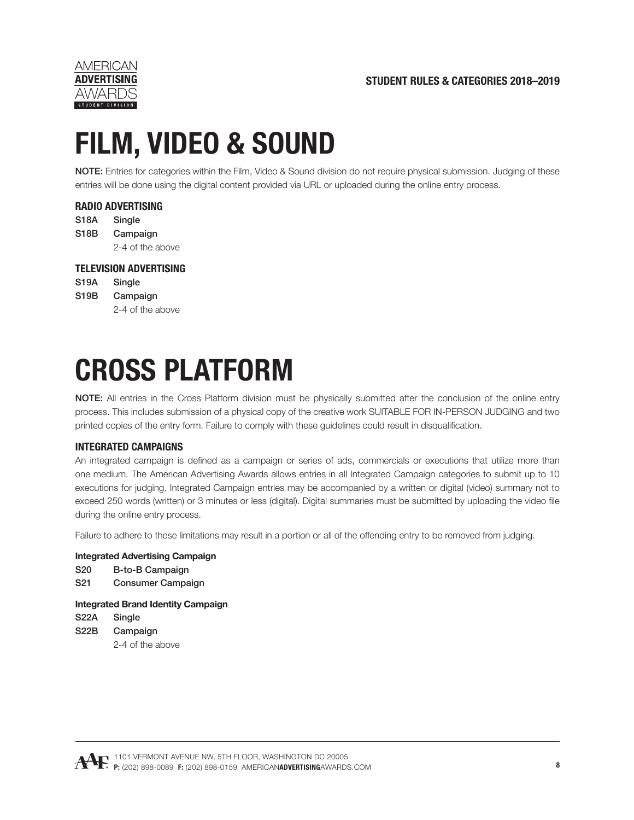

# **FILM, VIDEO & SOUND**

NOTE: Entries for categories within the Film, Video & Sound division do not require physical submission. Judging of these entries will be done using the digital content provided via URL or uploaded during the online entry process.

# **RADIO ADVERTISING**

S18A Single S18B Campaign 2-4 of the above

## **TELEVISION ADVERTISING**

S<sub>19</sub>A Single S19B Campaign 2-4 of the above

# **CROSS PLATFORM**

NOTE: All entries in the Cross Platform division must be physically submitted after the conclusion of the online entry process. This includes submission of a physical copy of the creative work SUITABLE FOR IN-PERSON JUDGING and two printed copies of the entry form. Failure to comply with these guidelines could result in disqualification.

# **INTEGRATED CAMPAIGNS**

An integrated campaign is defined as a campaign or series of ads, commercials or executions that utilize more than one medium. The American Advertising Awards allows entries in all Integrated Campaign categories to submit up to 10 executions for judging. Integrated Campaign entries may be accompanied by a written or digital (video) summary not to exceed 250 words (written) or 3 minutes or less (digital). Digital summaries must be submitted by uploading the video file during the online entry process.

Failure to adhere to these limitations may result in a portion or all of the offending entry to be removed from judging.

#### **Integrated Advertising Campaign**

- S20 B-to-B Campaign
- S21 Consumer Campaign

**Integrated Brand Identity Campaign**

S22A Single S22B Campaign 2-4 of the above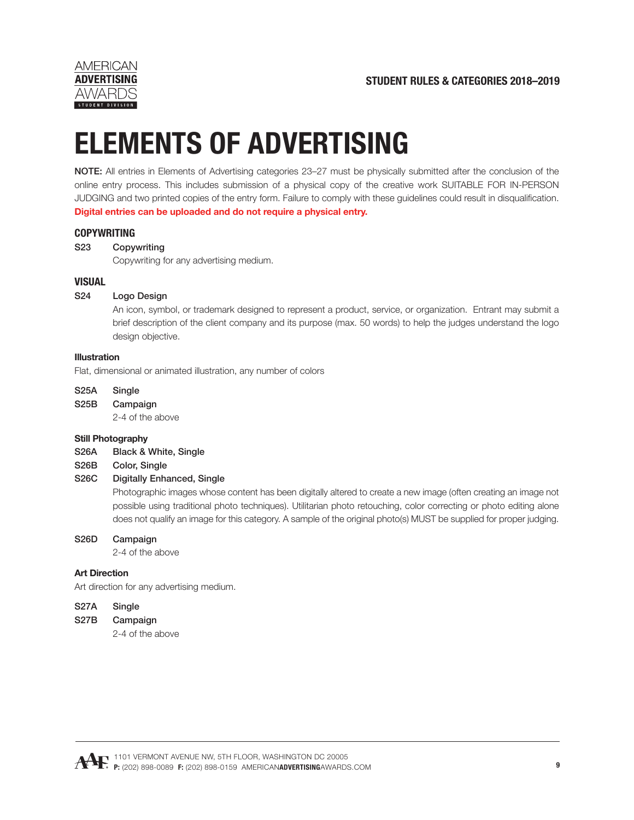

# **ELEMENTS OF ADVERTISING**

NOTE: All entries in Elements of Advertising categories 23–27 must be physically submitted after the conclusion of the online entry process. This includes submission of a physical copy of the creative work SUITABLE FOR IN-PERSON JUDGING and two printed copies of the entry form. Failure to comply with these guidelines could result in disqualification. **Digital entries can be uploaded and do not require a physical entry.**

## **COPYWRITING**

## S23 Copywriting

Copywriting for any advertising medium.

#### **VISUAL**

#### S24 Logo Design

 An icon, symbol, or trademark designed to represent a product, service, or organization. Entrant may submit a brief description of the client company and its purpose (max. 50 words) to help the judges understand the logo design objective.

#### **Illustration**

Flat, dimensional or animated illustration, any number of colors

- S25A Single
- S25B Campaign

2-4 of the above

#### **Still Photography**

- S26A Black & White, Single
- S26B Color, Single

## S26C Digitally Enhanced, Single

 Photographic images whose content has been digitally altered to create a new image (often creating an image not possible using traditional photo techniques). Utilitarian photo retouching, color correcting or photo editing alone does not qualify an image for this category. A sample of the original photo(s) MUST be supplied for proper judging.

#### S26D Campaign

2-4 of the above

#### **Art Direction**

Art direction for any advertising medium.

#### S27A Single

#### S27B Campaign

2-4 of the above